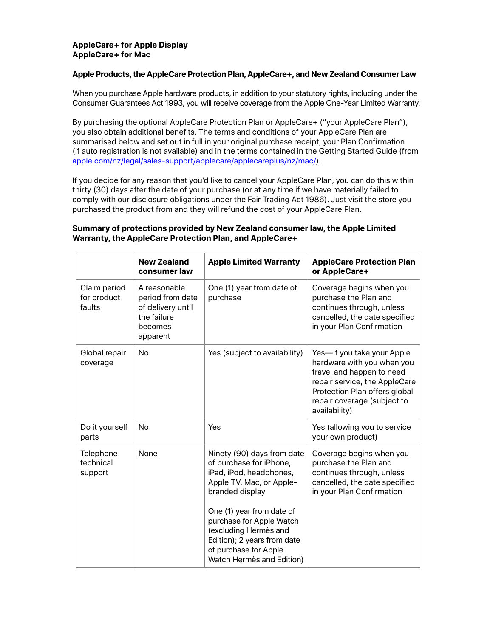## **AppleCare+ for Apple Display AppleCare+ for Mac**

#### **Apple Products, the AppleCare Protection Plan, AppleCare+, and New Zealand Consumer Law**

When you purchase Apple hardware products, in addition to your statutory rights, including under the Consumer Guarantees Act 1993, you will receive coverage from the Apple One-Year Limited Warranty.

By purchasing the optional AppleCare Protection Plan or AppleCare+ ("your AppleCare Plan"), you also obtain additional benefits. The terms and conditions of your AppleCare Plan are summarised below and set out in full in your original purchase receipt, your Plan Confirmation (if auto registration is not available) and in the terms contained in the Getting Started Guide (from [apple.com/nz/legal/sales-support/applecare/applecareplus/nz/mac/\)](https://www.apple.com/nz/legal/sales-support/applecare/applecareplus/nz/mac/).

If you decide for any reason that you'd like to cancel your AppleCare Plan, you can do this within thirty (30) days after the date of your purchase (or at any time if we have materially failed to comply with our disclosure obligations under the Fair Trading Act 1986). Just visit the store you purchased the product from and they will refund the cost of your AppleCare Plan.

## **Summary of protections provided by New Zealand consumer law, the Apple Limited Warranty, the AppleCare Protection Plan, and AppleCare+**

|                                       | <b>New Zealand</b><br>consumer law                                                          | <b>Apple Limited Warranty</b>                                                                                                                                                                                                                                                                          | <b>AppleCare Protection Plan</b><br>or AppleCare+                                                                                                                                                       |
|---------------------------------------|---------------------------------------------------------------------------------------------|--------------------------------------------------------------------------------------------------------------------------------------------------------------------------------------------------------------------------------------------------------------------------------------------------------|---------------------------------------------------------------------------------------------------------------------------------------------------------------------------------------------------------|
| Claim period<br>for product<br>faults | A reasonable<br>period from date<br>of delivery until<br>the failure<br>becomes<br>apparent | One (1) year from date of<br>purchase                                                                                                                                                                                                                                                                  | Coverage begins when you<br>purchase the Plan and<br>continues through, unless<br>cancelled, the date specified<br>in your Plan Confirmation                                                            |
| Global repair<br>coverage             | No                                                                                          | Yes (subject to availability)                                                                                                                                                                                                                                                                          | Yes-If you take your Apple<br>hardware with you when you<br>travel and happen to need<br>repair service, the AppleCare<br>Protection Plan offers global<br>repair coverage (subject to<br>availability) |
| Do it yourself<br>parts               | No                                                                                          | Yes                                                                                                                                                                                                                                                                                                    | Yes (allowing you to service<br>your own product)                                                                                                                                                       |
| Telephone<br>technical<br>support     | None                                                                                        | Ninety (90) days from date<br>of purchase for iPhone,<br>iPad, iPod, headphones,<br>Apple TV, Mac, or Apple-<br>branded display<br>One (1) year from date of<br>purchase for Apple Watch<br>(excluding Hermès and<br>Edition); 2 years from date<br>of purchase for Apple<br>Watch Hermès and Edition) | Coverage begins when you<br>purchase the Plan and<br>continues through, unless<br>cancelled, the date specified<br>in your Plan Confirmation                                                            |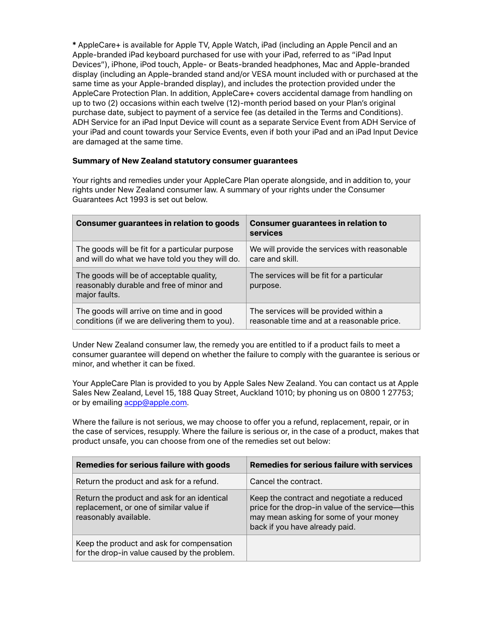**\*** AppleCare+ is available for Apple TV, Apple Watch, iPad (including an Apple Pencil and an Apple-branded iPad keyboard purchased for use with your iPad, referred to as "iPad Input Devices"), iPhone, iPod touch, Apple- or Beats-branded headphones, Mac and Apple-branded display (including an Apple-branded stand and/or VESA mount included with or purchased at the same time as your Apple-branded display), and includes the protection provided under the AppleCare Protection Plan. In addition, AppleCare+ covers accidental damage from handling on up to two (2) occasions within each twelve (12)-month period based on your Plan's original purchase date, subject to payment of a service fee (as detailed in the Terms and Conditions). ADH Service for an iPad Input Device will count as a separate Service Event from ADH Service of your iPad and count towards your Service Events, even if both your iPad and an iPad Input Device are damaged at the same time.

## **Summary of New Zealand statutory consumer guarantees**

Your rights and remedies under your AppleCare Plan operate alongside, and in addition to, your rights under New Zealand consumer law. A summary of your rights under the Consumer Guarantees Act 1993 is set out below.

| <b>Consumer guarantees in relation to goods</b>                                                       | <b>Consumer guarantees in relation to</b><br>services |
|-------------------------------------------------------------------------------------------------------|-------------------------------------------------------|
| The goods will be fit for a particular purpose                                                        | We will provide the services with reasonable          |
| and will do what we have told you they will do.                                                       | care and skill.                                       |
| The goods will be of acceptable quality,<br>reasonably durable and free of minor and<br>major faults. | The services will be fit for a particular<br>purpose. |
| The goods will arrive on time and in good                                                             | The services will be provided within a                |
| conditions (if we are delivering them to you).                                                        | reasonable time and at a reasonable price.            |

Under New Zealand consumer law, the remedy you are entitled to if a product fails to meet a consumer guarantee will depend on whether the failure to comply with the guarantee is serious or minor, and whether it can be fixed.

Your AppleCare Plan is provided to you by Apple Sales New Zealand. You can contact us at Apple Sales New Zealand, Level 15, 188 Quay Street, Auckland 1010; by phoning us on 0800 1 27753; or by emailing [acpp@apple.com.](mailto:acpp@apple.com)

Where the failure is not serious, we may choose to offer you a refund, replacement, repair, or in the case of services, resupply. Where the failure is serious or, in the case of a product, makes that product unsafe, you can choose from one of the remedies set out below:

| <b>Remedies for serious failure with goods</b>                                                                  | <b>Remedies for serious failure with services</b>                                                                                                                        |
|-----------------------------------------------------------------------------------------------------------------|--------------------------------------------------------------------------------------------------------------------------------------------------------------------------|
| Return the product and ask for a refund.                                                                        | Cancel the contract.                                                                                                                                                     |
| Return the product and ask for an identical<br>replacement, or one of similar value if<br>reasonably available. | Keep the contract and negotiate a reduced<br>price for the drop-in value of the service-this<br>may mean asking for some of your money<br>back if you have already paid. |
| Keep the product and ask for compensation<br>for the drop-in value caused by the problem.                       |                                                                                                                                                                          |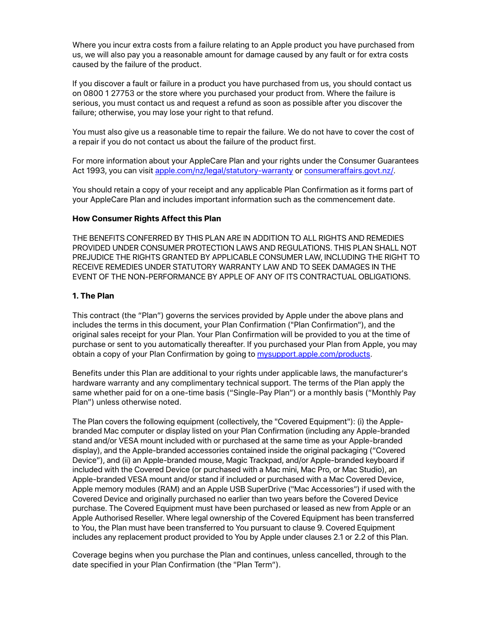Where you incur extra costs from a failure relating to an Apple product you have purchased from us, we will also pay you a reasonable amount for damage caused by any fault or for extra costs caused by the failure of the product.

If you discover a fault or failure in a product you have purchased from us, you should contact us on 0800 1 27753 or the store where you purchased your product from. Where the failure is serious, you must contact us and request a refund as soon as possible after you discover the failure; otherwise, you may lose your right to that refund.

You must also give us a reasonable time to repair the failure. We do not have to cover the cost of a repair if you do not contact us about the failure of the product first.

For more information about your AppleCare Plan and your rights under the Consumer Guarantees Act 1993, you can visit [apple.com/nz/legal/statutory-warranty](http://www.apple.com/nz/legal/statutory-warranty) or [consumeraffairs.govt.nz/.](http://www.consumeraffairs.govt.nz/)

You should retain a copy of your receipt and any applicable Plan Confirmation as it forms part of your AppleCare Plan and includes important information such as the commencement date.

#### **How Consumer Rights Affect this Plan**

THE BENEFITS CONFERRED BY THIS PLAN ARE IN ADDITION TO ALL RIGHTS AND REMEDIES PROVIDED UNDER CONSUMER PROTECTION LAWS AND REGULATIONS. THIS PLAN SHALL NOT PREJUDICE THE RIGHTS GRANTED BY APPLICABLE CONSUMER LAW, INCLUDING THE RIGHT TO RECEIVE REMEDIES UNDER STATUTORY WARRANTY LAW AND TO SEEK DAMAGES IN THE EVENT OF THE NON-PERFORMANCE BY APPLE OF ANY OF ITS CONTRACTUAL OBLIGATIONS.

#### **1. The Plan**

This contract (the "Plan") governs the services provided by Apple under the above plans and includes the terms in this document, your Plan Confirmation ("Plan Confirmation"), and the original sales receipt for your Plan. Your Plan Confirmation will be provided to you at the time of purchase or sent to you automatically thereafter. If you purchased your Plan from Apple, you may obtain a copy of your Plan Confirmation by going to [mysupport.apple.com/products.](http://mysupport.apple.com/products)

Benefits under this Plan are additional to your rights under applicable laws, the manufacturer's hardware warranty and any complimentary technical support. The terms of the Plan apply the same whether paid for on a one-time basis ("Single-Pay Plan") or a monthly basis ("Monthly Pay Plan") unless otherwise noted.

The Plan covers the following equipment (collectively, the "Covered Equipment"): (i) the Applebranded Mac computer or display listed on your Plan Confirmation (including any Apple-branded stand and/or VESA mount included with or purchased at the same time as your Apple-branded display), and the Apple-branded accessories contained inside the original packaging ("Covered Device"), and (ii) an Apple-branded mouse, Magic Trackpad, and/or Apple-branded keyboard if included with the Covered Device (or purchased with a Mac mini, Mac Pro, or Mac Studio), an Apple-branded VESA mount and/or stand if included or purchased with a Mac Covered Device, Apple memory modules (RAM) and an Apple USB SuperDrive ("Mac Accessories") if used with the Covered Device and originally purchased no earlier than two years before the Covered Device purchase. The Covered Equipment must have been purchased or leased as new from Apple or an Apple Authorised Reseller. Where legal ownership of the Covered Equipment has been transferred to You, the Plan must have been transferred to You pursuant to clause 9. Covered Equipment includes any replacement product provided to You by Apple under clauses 2.1 or 2.2 of this Plan.

Coverage begins when you purchase the Plan and continues, unless cancelled, through to the date specified in your Plan Confirmation (the "Plan Term").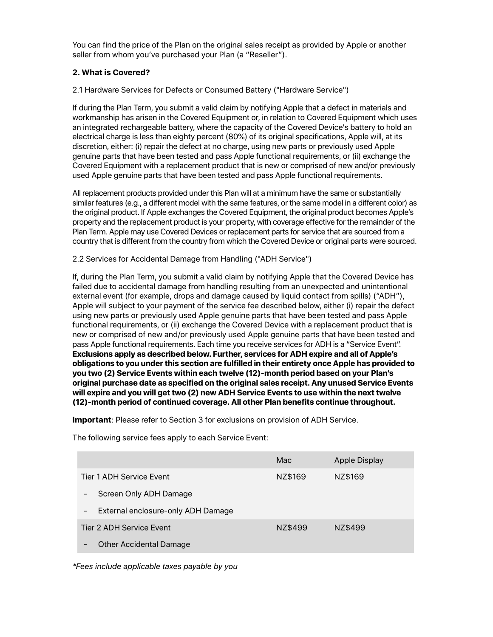You can find the price of the Plan on the original sales receipt as provided by Apple or another seller from whom you've purchased your Plan (a "Reseller").

# **2. What is Covered?**

## 2.1 Hardware Services for Defects or Consumed Battery ("Hardware Service")

If during the Plan Term, you submit a valid claim by notifying Apple that a defect in materials and workmanship has arisen in the Covered Equipment or, in relation to Covered Equipment which uses an integrated rechargeable battery, where the capacity of the Covered Device's battery to hold an electrical charge is less than eighty percent (80%) of its original specifications, Apple will, at its discretion, either: (i) repair the defect at no charge, using new parts or previously used Apple genuine parts that have been tested and pass Apple functional requirements, or (ii) exchange the Covered Equipment with a replacement product that is new or comprised of new and/or previously used Apple genuine parts that have been tested and pass Apple functional requirements.

All replacement products provided under this Plan will at a minimum have the same or substantially similar features (e.g., a different model with the same features, or the same model in a different color) as the original product. If Apple exchanges the Covered Equipment, the original product becomes Apple's property and the replacement product is your property, with coverage effective for the remainder of the Plan Term. Apple may use Covered Devices or replacement parts for service that are sourced from a country that is different from the country from which the Covered Device or original parts were sourced.

## 2.2 Services for Accidental Damage from Handling ("ADH Service")

If, during the Plan Term, you submit a valid claim by notifying Apple that the Covered Device has failed due to accidental damage from handling resulting from an unexpected and unintentional external event (for example, drops and damage caused by liquid contact from spills) ("ADH"), Apple will subject to your payment of the service fee described below, either (i) repair the defect using new parts or previously used Apple genuine parts that have been tested and pass Apple functional requirements, or (ii) exchange the Covered Device with a replacement product that is new or comprised of new and/or previously used Apple genuine parts that have been tested and pass Apple functional requirements. Each time you receive services for ADH is a "Service Event". **Exclusions apply as described below. Further, services for ADH expire and all of Apple's obligations to you under this section are fulfilled in their entirety once Apple has provided to you two (2) Service Events within each twelve (12)-month period based on your Plan's original purchase date as specified on the original sales receipt. Any unused Service Events**  will expire and you will get two (2) new ADH Service Events to use within the next twelve **(12)-month period of continued coverage. All other Plan benefits continue throughout.**

**Important**: Please refer to Section 3 for exclusions on provision of ADH Service.

The following service fees apply to each Service Event:

|                                                                | Mac     | Apple Display |  |  |
|----------------------------------------------------------------|---------|---------------|--|--|
| Tier 1 ADH Service Event                                       | NZ\$169 | NZ\$169       |  |  |
| Screen Only ADH Damage<br>-                                    |         |               |  |  |
| External enclosure-only ADH Damage<br>-                        |         |               |  |  |
| Tier 2 ADH Service Event                                       | NZ\$499 | NZ\$499       |  |  |
| <b>Other Accidental Damage</b><br>$\qquad \qquad \blacksquare$ |         |               |  |  |

*\*Fees include applicable taxes payable by you*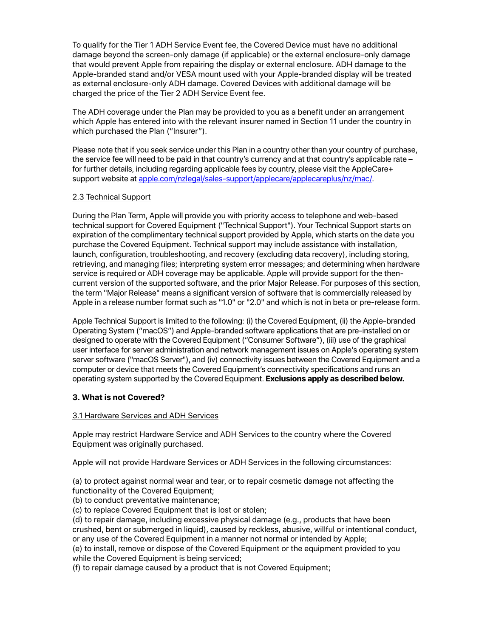To qualify for the Tier 1 ADH Service Event fee, the Covered Device must have no additional damage beyond the screen-only damage (if applicable) or the external enclosure-only damage that would prevent Apple from repairing the display or external enclosure. ADH damage to the Apple-branded stand and/or VESA mount used with your Apple-branded display will be treated as external enclosure-only ADH damage. Covered Devices with additional damage will be charged the price of the Tier 2 ADH Service Event fee.

The ADH coverage under the Plan may be provided to you as a benefit under an arrangement which Apple has entered into with the relevant insurer named in Section 11 under the country in which purchased the Plan ("Insurer").

Please note that if you seek service under this Plan in a country other than your country of purchase, the service fee will need to be paid in that country's currency and at that country's applicable rate – for further details, including regarding applicable fees by country, please visit the AppleCare+ support website at [apple.com/nzlegal/sales-support/applecare/applecareplus/nz/mac/.](http://www.apple.com/nz/legal/sales-support/applecare/applecareplus/nz/mac/)

# 2.3 Technical Support

During the Plan Term, Apple will provide you with priority access to telephone and web-based technical support for Covered Equipment ("Technical Support"). Your Technical Support starts on expiration of the complimentary technical support provided by Apple, which starts on the date you purchase the Covered Equipment. Technical support may include assistance with installation, launch, configuration, troubleshooting, and recovery (excluding data recovery), including storing, retrieving, and managing files; interpreting system error messages; and determining when hardware service is required or ADH coverage may be applicable. Apple will provide support for the thencurrent version of the supported software, and the prior Major Release. For purposes of this section, the term "Major Release" means a significant version of software that is commercially released by Apple in a release number format such as "1.0" or "2.0" and which is not in beta or pre-release form.

Apple Technical Support is limited to the following: (i) the Covered Equipment, (ii) the Apple-branded Operating System ("macOS") and Apple-branded software applications that are pre-installed on or designed to operate with the Covered Equipment ("Consumer Software"), (iii) use of the graphical user interface for server administration and network management issues on Apple's operating system server software ("macOS Server"), and (iv) connectivity issues between the Covered Equipment and a computer or device that meets the Covered Equipment's connectivity specifications and runs an operating system supported by the Covered Equipment. **Exclusions apply as described below.**

# **3. What is not Covered?**

# 3.1 Hardware Services and ADH Services

Apple may restrict Hardware Service and ADH Services to the country where the Covered Equipment was originally purchased.

Apple will not provide Hardware Services or ADH Services in the following circumstances:

(a) to protect against normal wear and tear, or to repair cosmetic damage not affecting the functionality of the Covered Equipment;

(b) to conduct preventative maintenance;

(c) to replace Covered Equipment that is lost or stolen;

(d) to repair damage, including excessive physical damage (e.g., products that have been crushed, bent or submerged in liquid), caused by reckless, abusive, willful or intentional conduct, or any use of the Covered Equipment in a manner not normal or intended by Apple;

(e) to install, remove or dispose of the Covered Equipment or the equipment provided to you while the Covered Equipment is being serviced;

(f) to repair damage caused by a product that is not Covered Equipment;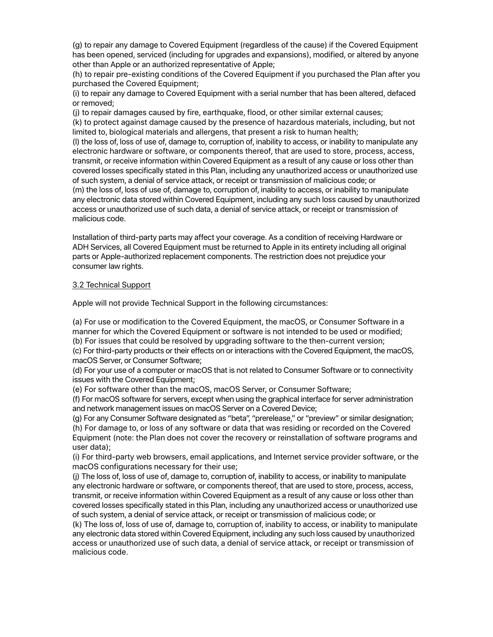(g) to repair any damage to Covered Equipment (regardless of the cause) if the Covered Equipment has been opened, serviced (including for upgrades and expansions), modified, or altered by anyone other than Apple or an authorized representative of Apple;

(h) to repair pre-existing conditions of the Covered Equipment if you purchased the Plan after you purchased the Covered Equipment;

(i) to repair any damage to Covered Equipment with a serial number that has been altered, defaced or removed;

(j) to repair damages caused by fire, earthquake, flood, or other similar external causes; (k) to protect against damage caused by the presence of hazardous materials, including, but not limited to, biological materials and allergens, that present a risk to human health;

(l) the loss of, loss of use of, damage to, corruption of, inability to access, or inability to manipulate any electronic hardware or software, or components thereof, that are used to store, process, access, transmit, or receive information within Covered Equipment as a result of any cause or loss other than covered losses specifically stated in this Plan, including any unauthorized access or unauthorized use of such system, a denial of service attack, or receipt or transmission of malicious code; or (m) the loss of, loss of use of, damage to, corruption of, inability to access, or inability to manipulate any electronic data stored within Covered Equipment, including any such loss caused by unauthorized access or unauthorized use of such data, a denial of service attack, or receipt or transmission of malicious code.

Installation of third-party parts may affect your coverage. As a condition of receiving Hardware or ADH Services, all Covered Equipment must be returned to Apple in its entirety including all original parts or Apple-authorized replacement components. The restriction does not prejudice your consumer law rights.

#### 3.2 Technical Support

Apple will not provide Technical Support in the following circumstances:

(a) For use or modification to the Covered Equipment, the macOS, or Consumer Software in a manner for which the Covered Equipment or software is not intended to be used or modified; (b) For issues that could be resolved by upgrading software to the then-current version;

(c) For third-party products or their effects on or interactions with the Covered Equipment, the macOS, macOS Server, or Consumer Software;

(d) For your use of a computer or macOS that is not related to Consumer Software or to connectivity issues with the Covered Equipment;

(e) For software other than the macOS, macOS Server, or Consumer Software;

(f) For macOS software for servers, except when using the graphical interface for server administration and network management issues on macOS Server on a Covered Device;

(g) For any Consumer Software designated as "beta", "prerelease," or "preview" or similar designation; (h) For damage to, or loss of any software or data that was residing or recorded on the Covered Equipment (note: the Plan does not cover the recovery or reinstallation of software programs and user data);

(i) For third-party web browsers, email applications, and Internet service provider software, or the macOS configurations necessary for their use;

(j) The loss of, loss of use of, damage to, corruption of, inability to access, or inability to manipulate any electronic hardware or software, or components thereof, that are used to store, process, access, transmit, or receive information within Covered Equipment as a result of any cause or loss other than covered losses specifically stated in this Plan, including any unauthorized access or unauthorized use of such system, a denial of service attack, or receipt or transmission of malicious code; or

(k) The loss of, loss of use of, damage to, corruption of, inability to access, or inability to manipulate any electronic data stored within Covered Equipment, including any such loss caused by unauthorized access or unauthorized use of such data, a denial of service attack, or receipt or transmission of malicious code.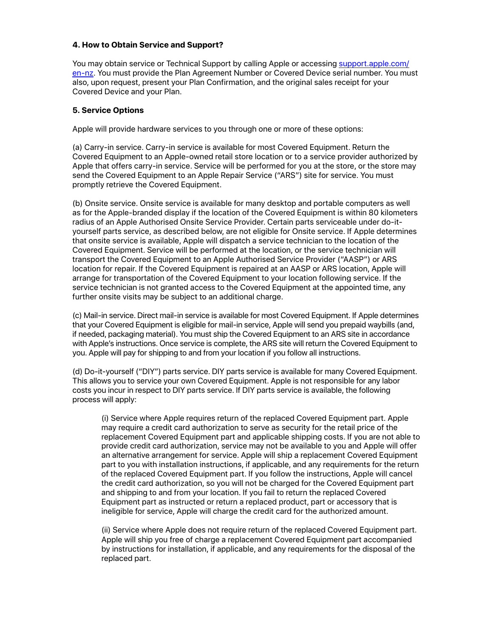#### **4. How to Obtain Service and Support?**

You may obtain service or Technical Support by calling Apple or accessing [support.apple.com/](https://support.apple.com/en-nz) [en-nz](https://support.apple.com/en-nz). You must provide the Plan Agreement Number or Covered Device serial number. You must also, upon request, present your Plan Confirmation, and the original sales receipt for your Covered Device and your Plan.

## **5. Service Options**

Apple will provide hardware services to you through one or more of these options:

(a) Carry-in service. Carry-in service is available for most Covered Equipment. Return the Covered Equipment to an Apple-owned retail store location or to a service provider authorized by Apple that offers carry-in service. Service will be performed for you at the store, or the store may send the Covered Equipment to an Apple Repair Service ("ARS") site for service. You must promptly retrieve the Covered Equipment.

(b) Onsite service. Onsite service is available for many desktop and portable computers as well as for the Apple-branded display if the location of the Covered Equipment is within 80 kilometers radius of an Apple Authorised Onsite Service Provider. Certain parts serviceable under do-ityourself parts service, as described below, are not eligible for Onsite service. If Apple determines that onsite service is available, Apple will dispatch a service technician to the location of the Covered Equipment. Service will be performed at the location, or the service technician will transport the Covered Equipment to an Apple Authorised Service Provider ("AASP") or ARS location for repair. If the Covered Equipment is repaired at an AASP or ARS location, Apple will arrange for transportation of the Covered Equipment to your location following service. If the service technician is not granted access to the Covered Equipment at the appointed time, any further onsite visits may be subject to an additional charge.

(c) Mail-in service. Direct mail-in service is available for most Covered Equipment. If Apple determines that your Covered Equipment is eligible for mail-in service, Apple will send you prepaid waybills (and, if needed, packaging material). You must ship the Covered Equipment to an ARS site in accordance with Apple's instructions. Once service is complete, the ARS site will return the Covered Equipment to you. Apple will pay for shipping to and from your location if you follow all instructions.

(d) Do-it-yourself ("DIY") parts service. DIY parts service is available for many Covered Equipment. This allows you to service your own Covered Equipment. Apple is not responsible for any labor costs you incur in respect to DIY parts service. If DIY parts service is available, the following process will apply:

(i) Service where Apple requires return of the replaced Covered Equipment part. Apple may require a credit card authorization to serve as security for the retail price of the replacement Covered Equipment part and applicable shipping costs. If you are not able to provide credit card authorization, service may not be available to you and Apple will offer an alternative arrangement for service. Apple will ship a replacement Covered Equipment part to you with installation instructions, if applicable, and any requirements for the return of the replaced Covered Equipment part. If you follow the instructions, Apple will cancel the credit card authorization, so you will not be charged for the Covered Equipment part and shipping to and from your location. If you fail to return the replaced Covered Equipment part as instructed or return a replaced product, part or accessory that is ineligible for service, Apple will charge the credit card for the authorized amount.

(ii) Service where Apple does not require return of the replaced Covered Equipment part. Apple will ship you free of charge a replacement Covered Equipment part accompanied by instructions for installation, if applicable, and any requirements for the disposal of the replaced part.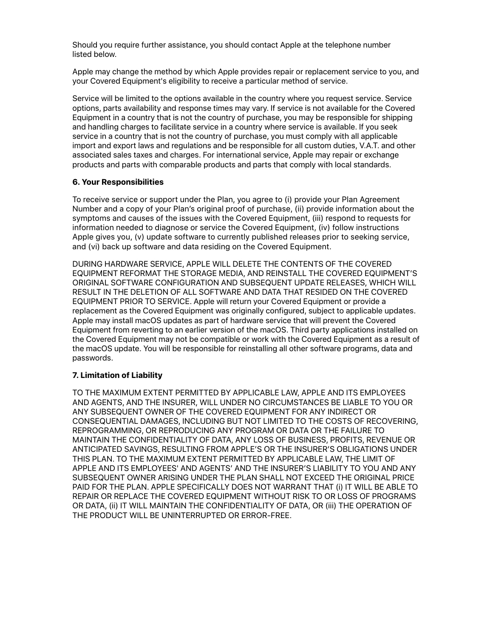Should you require further assistance, you should contact Apple at the telephone number listed below.

Apple may change the method by which Apple provides repair or replacement service to you, and your Covered Equipment's eligibility to receive a particular method of service.

Service will be limited to the options available in the country where you request service. Service options, parts availability and response times may vary. If service is not available for the Covered Equipment in a country that is not the country of purchase, you may be responsible for shipping and handling charges to facilitate service in a country where service is available. If you seek service in a country that is not the country of purchase, you must comply with all applicable import and export laws and regulations and be responsible for all custom duties, V.A.T. and other associated sales taxes and charges. For international service, Apple may repair or exchange products and parts with comparable products and parts that comply with local standards.

## **6. Your Responsibilities**

To receive service or support under the Plan, you agree to (i) provide your Plan Agreement Number and a copy of your Plan's original proof of purchase, (ii) provide information about the symptoms and causes of the issues with the Covered Equipment, (iii) respond to requests for information needed to diagnose or service the Covered Equipment, (iv) follow instructions Apple gives you, (v) update software to currently published releases prior to seeking service, and (vi) back up software and data residing on the Covered Equipment.

DURING HARDWARE SERVICE, APPLE WILL DELETE THE CONTENTS OF THE COVERED EQUIPMENT REFORMAT THE STORAGE MEDIA, AND REINSTALL THE COVERED EQUIPMENT'S ORIGINAL SOFTWARE CONFIGURATION AND SUBSEQUENT UPDATE RELEASES, WHICH WILL RESULT IN THE DELETION OF ALL SOFTWARE AND DATA THAT RESIDED ON THE COVERED EQUIPMENT PRIOR TO SERVICE. Apple will return your Covered Equipment or provide a replacement as the Covered Equipment was originally configured, subject to applicable updates. Apple may install macOS updates as part of hardware service that will prevent the Covered Equipment from reverting to an earlier version of the macOS. Third party applications installed on the Covered Equipment may not be compatible or work with the Covered Equipment as a result of the macOS update. You will be responsible for reinstalling all other software programs, data and passwords.

#### **7. Limitation of Liability**

TO THE MAXIMUM EXTENT PERMITTED BY APPLICABLE LAW, APPLE AND ITS EMPLOYEES AND AGENTS, AND THE INSURER, WILL UNDER NO CIRCUMSTANCES BE LIABLE TO YOU OR ANY SUBSEQUENT OWNER OF THE COVERED EQUIPMENT FOR ANY INDIRECT OR CONSEQUENTIAL DAMAGES, INCLUDING BUT NOT LIMITED TO THE COSTS OF RECOVERING, REPROGRAMMING, OR REPRODUCING ANY PROGRAM OR DATA OR THE FAILURE TO MAINTAIN THE CONFIDENTIALITY OF DATA, ANY LOSS OF BUSINESS, PROFITS, REVENUE OR ANTICIPATED SAVINGS, RESULTING FROM APPLE'S OR THE INSURER'S OBLIGATIONS UNDER THIS PLAN. TO THE MAXIMUM EXTENT PERMITTED BY APPLICABLE LAW, THE LIMIT OF APPLE AND ITS EMPLOYEES' AND AGENTS' AND THE INSURER'S LIABILITY TO YOU AND ANY SUBSEQUENT OWNER ARISING UNDER THE PLAN SHALL NOT EXCEED THE ORIGINAL PRICE PAID FOR THE PLAN. APPLE SPECIFICALLY DOES NOT WARRANT THAT (i) IT WILL BE ABLE TO REPAIR OR REPLACE THE COVERED EQUIPMENT WITHOUT RISK TO OR LOSS OF PROGRAMS OR DATA, (ii) IT WILL MAINTAIN THE CONFIDENTIALITY OF DATA, OR (iii) THE OPERATION OF THE PRODUCT WILL BE UNINTERRUPTED OR ERROR-FREE.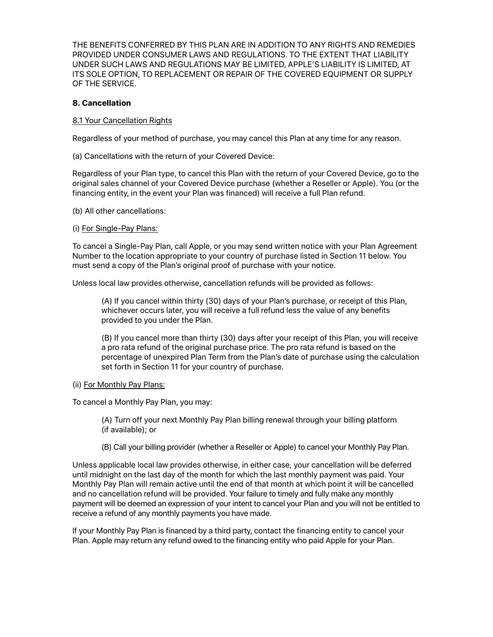THE BENEFITS CONFERRED BY THIS PLAN ARE IN ADDITION TO ANY RIGHTS AND REMEDIES PROVIDED UNDER CONSUMER LAWS AND REGULATIONS. TO THE EXTENT THAT LIABILITY UNDER SUCH LAWS AND REGULATIONS MAY BE LIMITED, APPLE'S LIABILITY IS LIMITED, AT ITS SOLE OPTION, TO REPLACEMENT OR REPAIR OF THE COVERED EQUIPMENT OR SUPPLY OF THE SERVICE.

#### **8. Cancellation**

#### 8.1 Your Cancellation Rights

Regardless of your method of purchase, you may cancel this Plan at any time for any reason.

(a) Cancellations with the return of your Covered Device:

Regardless of your Plan type, to cancel this Plan with the return of your Covered Device, go to the original sales channel of your Covered Device purchase (whether a Reseller or Apple). You (or the financing entity, in the event your Plan was financed) will receive a full Plan refund.

(b) All other cancellations:

#### (i) For Single-Pay Plans:

To cancel a Single-Pay Plan, call Apple, or you may send written notice with your Plan Agreement Number to the location appropriate to your country of purchase listed in Section 11 below. You must send a copy of the Plan's original proof of purchase with your notice.

Unless local law provides otherwise, cancellation refunds will be provided as follows:

(A) If you cancel within thirty (30) days of your Plan's purchase, or receipt of this Plan, whichever occurs later, you will receive a full refund less the value of any benefits provided to you under the Plan.

(B) If you cancel more than thirty (30) days after your receipt of this Plan, you will receive a pro rata refund of the original purchase price. The pro rata refund is based on the percentage of unexpired Plan Term from the Plan's date of purchase using the calculation set forth in Section 11 for your country of purchase.

#### (ii) For Monthly Pay Plans:

To cancel a Monthly Pay Plan, you may:

(A) Turn off your next Monthly Pay Plan billing renewal through your billing platform (if available); or

(B) Call your billing provider (whether a Reseller or Apple) to cancel your Monthly Pay Plan.

Unless applicable local law provides otherwise, in either case, your cancellation will be deferred until midnight on the last day of the month for which the last monthly payment was paid. Your Monthly Pay Plan will remain active until the end of that month at which point it will be cancelled and no cancellation refund will be provided. Your failure to timely and fully make any monthly payment will be deemed an expression of your intent to cancel your Plan and you will not be entitled to receive a refund of any monthly payments you have made.

If your Monthly Pay Plan is financed by a third party, contact the financing entity to cancel your Plan. Apple may return any refund owed to the financing entity who paid Apple for your Plan.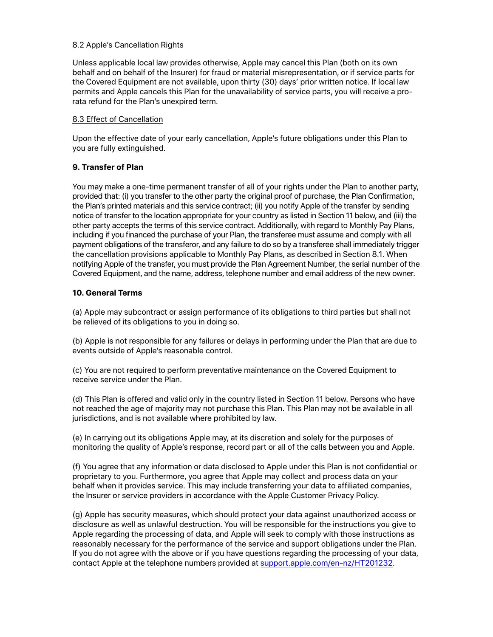## 8.2 Apple's Cancellation Rights

Unless applicable local law provides otherwise, Apple may cancel this Plan (both on its own behalf and on behalf of the Insurer) for fraud or material misrepresentation, or if service parts for the Covered Equipment are not available, upon thirty (30) days' prior written notice. If local law permits and Apple cancels this Plan for the unavailability of service parts, you will receive a prorata refund for the Plan's unexpired term.

## 8.3 Effect of Cancellation

Upon the effective date of your early cancellation, Apple's future obligations under this Plan to you are fully extinguished.

# **9. Transfer of Plan**

You may make a one-time permanent transfer of all of your rights under the Plan to another party, provided that: (i) you transfer to the other party the original proof of purchase, the Plan Confirmation, the Plan's printed materials and this service contract; (ii) you notify Apple of the transfer by sending notice of transfer to the location appropriate for your country as listed in Section 11 below, and (iii) the other party accepts the terms of this service contract. Additionally, with regard to Monthly Pay Plans, including if you financed the purchase of your Plan, the transferee must assume and comply with all payment obligations of the transferor, and any failure to do so by a transferee shall immediately trigger the cancellation provisions applicable to Monthly Pay Plans, as described in Section 8.1. When notifying Apple of the transfer, you must provide the Plan Agreement Number, the serial number of the Covered Equipment, and the name, address, telephone number and email address of the new owner.

# **10. General Terms**

(a) Apple may subcontract or assign performance of its obligations to third parties but shall not be relieved of its obligations to you in doing so.

(b) Apple is not responsible for any failures or delays in performing under the Plan that are due to events outside of Apple's reasonable control.

(c) You are not required to perform preventative maintenance on the Covered Equipment to receive service under the Plan.

(d) This Plan is offered and valid only in the country listed in Section 11 below. Persons who have not reached the age of majority may not purchase this Plan. This Plan may not be available in all jurisdictions, and is not available where prohibited by law.

(e) In carrying out its obligations Apple may, at its discretion and solely for the purposes of monitoring the quality of Apple's response, record part or all of the calls between you and Apple.

(f) You agree that any information or data disclosed to Apple under this Plan is not confidential or proprietary to you. Furthermore, you agree that Apple may collect and process data on your behalf when it provides service. This may include transferring your data to affiliated companies, the Insurer or service providers in accordance with the Apple Customer Privacy Policy.

(g) Apple has security measures, which should protect your data against unauthorized access or disclosure as well as unlawful destruction. You will be responsible for the instructions you give to Apple regarding the processing of data, and Apple will seek to comply with those instructions as reasonably necessary for the performance of the service and support obligations under the Plan. If you do not agree with the above or if you have questions regarding the processing of your data, contact Apple at the telephone numbers provided at [support.apple.com/en-nz/HT201232.](http://support.apple.com/en-nz/HT201232)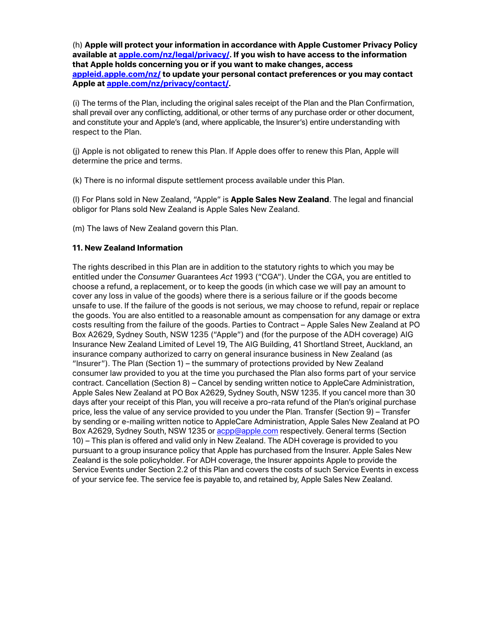(h) **Apple will protect your information in accordance with Apple Customer Privacy Policy available at [apple.com/nz/legal/privacy/.](http://www.apple.com/nz/legal/privacy/) If you wish to have access to the information that Apple holds concerning you or if you want to make changes, access [appleid.apple.com/nz/](https://appleid.apple.com/nz/) to update your personal contact preferences or you may contact Apple at [apple.com/nz/privacy/contact/.](https://www.apple.com/nz/privacy/contact/)**

(i) The terms of the Plan, including the original sales receipt of the Plan and the Plan Confirmation, shall prevail over any conflicting, additional, or other terms of any purchase order or other document, and constitute your and Apple's (and, where applicable, the Insurer's) entire understanding with respect to the Plan.

(j) Apple is not obligated to renew this Plan. If Apple does offer to renew this Plan, Apple will determine the price and terms.

(k) There is no informal dispute settlement process available under this Plan.

(l) For Plans sold in New Zealand, "Apple" is **Apple Sales New Zealand**. The legal and financial obligor for Plans sold New Zealand is Apple Sales New Zealand.

(m) The laws of New Zealand govern this Plan.

#### **11. New Zealand Information**

The rights described in this Plan are in addition to the statutory rights to which you may be entitled under the *Consumer* Guarantees *Act* 1993 ("CGA"). Under the CGA, you are entitled to choose a refund, a replacement, or to keep the goods (in which case we will pay an amount to cover any loss in value of the goods) where there is a serious failure or if the goods become unsafe to use. If the failure of the goods is not serious, we may choose to refund, repair or replace the goods. You are also entitled to a reasonable amount as compensation for any damage or extra costs resulting from the failure of the goods. Parties to Contract – Apple Sales New Zealand at PO Box A2629, Sydney South, NSW 1235 ("Apple") and (for the purpose of the ADH coverage) AIG Insurance New Zealand Limited of Level 19, The AIG Building, 41 Shortland Street, Auckland, an insurance company authorized to carry on general insurance business in New Zealand (as "Insurer"). The Plan (Section 1) – the summary of protections provided by New Zealand consumer law provided to you at the time you purchased the Plan also forms part of your service contract. Cancellation (Section 8) – Cancel by sending written notice to AppleCare Administration, Apple Sales New Zealand at PO Box A2629, Sydney South, NSW 1235. If you cancel more than 30 days after your receipt of this Plan, you will receive a pro-rata refund of the Plan's original purchase price, less the value of any service provided to you under the Plan. Transfer (Section 9) – Transfer by sending or e-mailing written notice to AppleCare Administration, Apple Sales New Zealand at PO Box A2629, Sydney South, NSW 1235 or [acpp@apple.com](mailto:acpp@apple.com) respectively. General terms (Section 10) – This plan is offered and valid only in New Zealand. The ADH coverage is provided to you pursuant to a group insurance policy that Apple has purchased from the Insurer. Apple Sales New Zealand is the sole policyholder. For ADH coverage, the Insurer appoints Apple to provide the Service Events under Section 2.2 of this Plan and covers the costs of such Service Events in excess of your service fee. The service fee is payable to, and retained by, Apple Sales New Zealand.